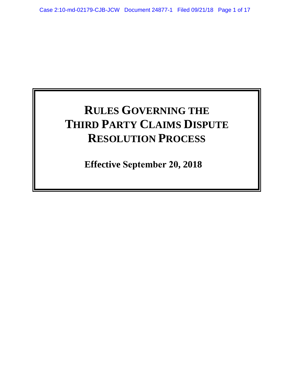# **RULES GOVERNING THE THIRD PARTY CLAIMS DISPUTE RESOLUTION PROCESS**

**Effective September 20, 2018**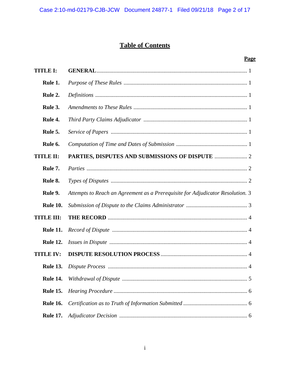# **Table of Contents**

## **Page**

| <b>TITLE I:</b>   |                                                                                |
|-------------------|--------------------------------------------------------------------------------|
| Rule 1.           |                                                                                |
| Rule 2.           |                                                                                |
| Rule 3.           |                                                                                |
| Rule 4.           |                                                                                |
| Rule 5.           |                                                                                |
| Rule 6.           |                                                                                |
| <b>TITLE II:</b>  |                                                                                |
| Rule 7.           |                                                                                |
| Rule 8.           |                                                                                |
| Rule 9.           | Attempts to Reach an Agreement as a Prerequisite for Adjudicator Resolution. 3 |
| <b>Rule 10.</b>   |                                                                                |
| <b>TITLE III:</b> |                                                                                |
| <b>Rule 11.</b>   |                                                                                |
| <b>Rule 12.</b>   |                                                                                |
| <b>TITLE IV:</b>  |                                                                                |
| <b>Rule 13.</b>   |                                                                                |
|                   |                                                                                |
| <b>Rule 15.</b>   |                                                                                |
| <b>Rule 16.</b>   |                                                                                |
| <b>Rule 17.</b>   |                                                                                |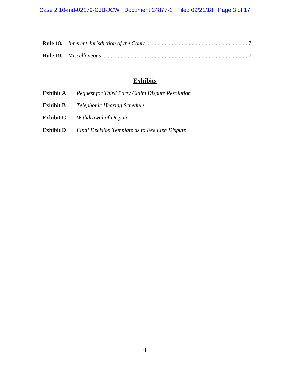Case 2:10-md-02179-CJB-JCW Document 24877-1 Filed 09/21/18 Page 3 of 17

# **Exhibits**

| Exhibit A        | <b>Request for Third Party Claim Dispute Resolution</b> |
|------------------|---------------------------------------------------------|
| <b>Exhibit B</b> | <i>Telephonic Hearing Schedule</i>                      |
| <b>Exhibit C</b> | Withdrawal of Dispute                                   |
| <b>Exhibit D</b> | Final Decision Template as to Fee Lien Dispute          |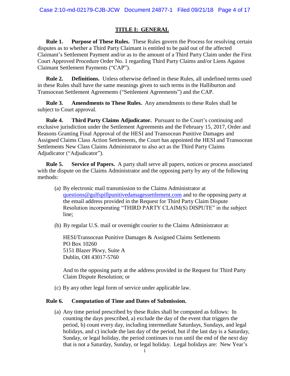#### **TITLE I: GENERAL**

**Rule 1. Purpose of These Rules.** These Rules govern the Process for resolving certain disputes as to whether a Third Party Claimant is entitled to be paid out of the affected Claimant's Settlement Payment and/or as to the amount of a Third Party Claim under the First Court Approved Procedure Order No. 1 regarding Third Party Claims and/or Liens Against Claimant Settlement Payments ("CAP").

**Rule 2. Definitions.** Unless otherwise defined in these Rules, all undefined terms used in these Rules shall have the same meanings given to such terms in the Halliburton and Transocean Settlement Agreements ("Settlement Agreements") and the CAP.

**Rule 3. Amendments to These Rules.** Any amendments to these Rules shall be subject to Court approval.

**Rule 4. Third Party Claims Adjudicator.** Pursuant to the Court's continuing and exclusive jurisdiction under the Settlement Agreements and the February 15, 2017, Order and Reasons Granting Final Approval of the HESI and Transocean Punitive Damages and Assigned Claims Class Action Settlements, the Court has appointed the HESI and Transocean Settlements New Class Claims Administrator to also act as the Third Party Claims Adjudicator ("Adjudicator").

**Rule 5. Service of Papers.** A party shall serve all papers, notices or process associated with the dispute on the Claims Administrator and the opposing party by any of the following methods:

- (a) By electronic mail transmission to the Claims Administrator at questions@gulfspillpunitivedamagessettlement.com and to the opposing party at the email address provided in the Request for Third Party Claim Dispute Resolution incorporating "THIRD PARTY CLAIM(S) DISPUTE" in the subject line;
- (b) By regular U.S. mail or overnight courier to the Claims Administrator at:

HESI/Transocean Punitive Damages & Assigned Claims Settlements PO Box 10260 5151 Blazer Pkwy, Suite A Dublin, OH 43017-5760

And to the opposing party at the address provided in the Request for Third Party Claim Dispute Resolution; or

(c) By any other legal form of service under applicable law.

#### **Rule 6. Computation of Time and Dates of Submission.**

(a) Any time period prescribed by these Rules shall be computed as follows: In counting the days prescribed, a) exclude the day of the event that triggers the period, b) count every day, including intermediate Saturdays, Sundays, and legal holidays, and c) include the last day of the period, but if the last day is a Saturday, Sunday, or legal holiday, the period continues to run until the end of the next day that is not a Saturday, Sunday, or legal holiday. Legal holidays are: New Year's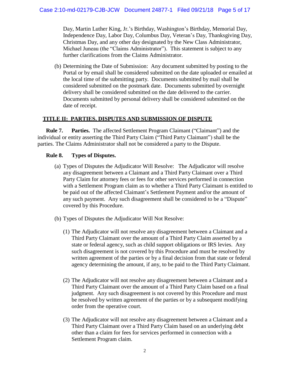Day, Martin Luther King, Jr.'s Birthday, Washington's Birthday, Memorial Day, Independence Day, Labor Day, Columbus Day, Veteran's Day, Thanksgiving Day, Christmas Day, and any other day designated by the New Class Administrator, Michael Juneau (the "Claims Administrator"). This statement is subject to any further clarifications from the Claims Administrator.

(b) Determining the Date of Submission: Any document submitted by posting to the Portal or by email shall be considered submitted on the date uploaded or emailed at the local time of the submitting party. Documents submitted by mail shall be considered submitted on the postmark date. Documents submitted by overnight delivery shall be considered submitted on the date delivered to the carrier. Documents submitted by personal delivery shall be considered submitted on the date of receipt.

#### **TITLE II: PARTIES, DISPUTES AND SUBMISSION OF DISPUTE**

**Rule 7. Parties.** The affected Settlement Program Claimant ("Claimant") and the individual or entity asserting the Third Party Claim ("Third Party Claimant") shall be the parties. The Claims Administrator shall not be considered a party to the Dispute.

#### **Rule 8. Types of Disputes.**

- (a) Types of Disputes the Adjudicator Will Resolve: The Adjudicator will resolve any disagreement between a Claimant and a Third Party Claimant over a Third Party Claim for attorney fees or fees for other services performed in connection with a Settlement Program claim as to whether a Third Party Claimant is entitled to be paid out of the affected Claimant's Settlement Payment and/or the amount of any such payment. Any such disagreement shall be considered to be a "Dispute" covered by this Procedure.
- (b) Types of Disputes the Adjudicator Will Not Resolve:
	- (1) The Adjudicator will not resolve any disagreement between a Claimant and a Third Party Claimant over the amount of a Third Party Claim asserted by a state or federal agency, such as child support obligations or IRS levies. Any such disagreement is not covered by this Procedure and must be resolved by written agreement of the parties or by a final decision from that state or federal agency determining the amount, if any, to be paid to the Third Party Claimant.
	- (2) The Adjudicator will not resolve any disagreement between a Claimant and a Third Party Claimant over the amount of a Third Party Claim based on a final judgment. Any such disagreement is not covered by this Procedure and must be resolved by written agreement of the parties or by a subsequent modifying order from the operative court.
	- (3) The Adjudicator will not resolve any disagreement between a Claimant and a Third Party Claimant over a Third Party Claim based on an underlying debt other than a claim for fees for services performed in connection with a Settlement Program claim.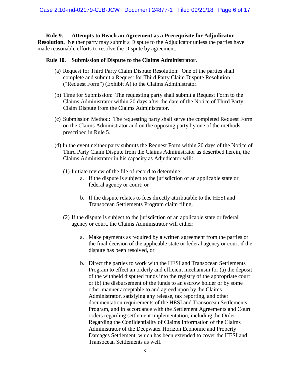#### **Rule 9. Attempts to Reach an Agreement as a Prerequisite for Adjudicator**

**Resolution.** Neither party may submit a Dispute to the Adjudicator unless the parties have made reasonable efforts to resolve the Dispute by agreement.

#### **Rule 10. Submission of Dispute to the Claims Administrator.**

- (a) Request for Third Party Claim Dispute Resolution: One of the parties shall complete and submit a Request for Third Party Claim Dispute Resolution ("Request Form") (Exhibit A) to the Claims Administrator.
- (b) Time for Submission: The requesting party shall submit a Request Form to the Claims Administrator within 20 days after the date of the Notice of Third Party Claim Dispute from the Claims Administrator.
- (c) Submission Method: The requesting party shall serve the completed Request Form on the Claims Administrator and on the opposing party by one of the methods prescribed in Rule 5.
- (d) In the event neither party submits the Request Form within 20 days of the Notice of Third Party Claim Dispute from the Claims Administrator as described herein, the Claims Administrator in his capacity as Adjudicator will:
	- (1) Initiate review of the file of record to determine:
		- a. If the dispute is subject to the jurisdiction of an applicable state or federal agency or court; or
		- b. If the dispute relates to fees directly attributable to the HESI and Transocean Settlements Program claim filing.
	- (2) If the dispute is subject to the jurisdiction of an applicable state or federal agency or court, the Claims Administrator will either:
		- a. Make payments as required by a written agreement from the parties or the final decision of the applicable state or federal agency or court if the dispute has been resolved, or
		- b. Direct the parties to work with the HESI and Transocean Settlements Program to effect an orderly and efficient mechanism for (a) the deposit of the withheld disputed funds into the registry of the appropriate court or (b) the disbursement of the funds to an escrow holder or by some other manner acceptable to and agreed upon by the Claims Administrator, satisfying any release, tax reporting, and other documentation requirements of the HESI and Transocean Settlements Program, and in accordance with the Settlement Agreements and Court orders regarding settlement implementation, including the Order Regarding the Confidentiality of Claims Information of the Claims Administrator of the Deepwater Horizon Economic and Property Damages Settlement, which has been extended to cover the HESI and Transocean Settlements as well.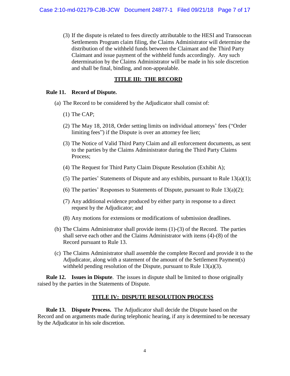(3) If the dispute is related to fees directly attributable to the HESI and Transocean Settlements Program claim filing, the Claims Administrator will determine the distribution of the withheld funds between the Claimant and the Third Party Claimant and issue payment of the withheld funds accordingly. Any such determination by the Claims Administrator will be made in his sole discretion and shall be final, binding, and non-appealable.

#### **TITLE III: THE RECORD**

#### **Rule 11. Record of Dispute.**

- (a) The Record to be considered by the Adjudicator shall consist of:
	- (1) The CAP;
	- (2) The May 18, 2018, Order setting limits on individual attorneys' fees ("Order limiting fees") if the Dispute is over an attorney fee lien;
	- (3) The Notice of Valid Third Party Claim and all enforcement documents, as sent to the parties by the Claims Administrator during the Third Party Claims Process;
	- (4) The Request for Third Party Claim Dispute Resolution (Exhibit A);
	- (5) The parties' Statements of Dispute and any exhibits, pursuant to Rule  $13(a)(1)$ ;
	- (6) The parties' Responses to Statements of Dispute, pursuant to Rule  $13(a)(2)$ ;
	- (7) Any additional evidence produced by either party in response to a direct request by the Adjudicator; and
	- (8) Any motions for extensions or modifications of submission deadlines.
- (b) The Claims Administrator shall provide items (1)-(3) of the Record. The parties shall serve each other and the Claims Administrator with items (4)-(8) of the Record pursuant to Rule 13.
- (c) The Claims Administrator shall assemble the complete Record and provide it to the Adjudicator, along with a statement of the amount of the Settlement Payment(s) withheld pending resolution of the Dispute, pursuant to Rule 13(a)(3).

**Rule 12. Issues in Dispute**. The issues in dispute shall be limited to those originally raised by the parties in the Statements of Dispute.

#### **TITLE IV: DISPUTE RESOLUTION PROCESS**

**Rule 13. Dispute Process.** The Adjudicator shall decide the Dispute based on the Record and on arguments made during telephonic hearing, if any is determined to be necessary by the Adjudicator in his sole discretion.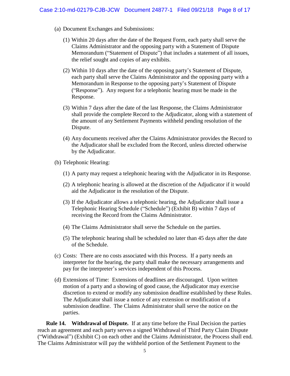- (a) Document Exchanges and Submissions:
	- (1) Within 20 days after the date of the Request Form, each party shall serve the Claims Administrator and the opposing party with a Statement of Dispute Memorandum ("Statement of Dispute") that includes a statement of all issues, the relief sought and copies of any exhibits.
	- (2) Within 10 days after the date of the opposing party's Statement of Dispute, each party shall serve the Claims Administrator and the opposing party with a Memorandum in Response to the opposing party's Statement of Dispute ("Response"). Any request for a telephonic hearing must be made in the Response.
	- (3) Within 7 days after the date of the last Response, the Claims Administrator shall provide the complete Record to the Adjudicator, along with a statement of the amount of any Settlement Payments withheld pending resolution of the Dispute.
	- (4) Any documents received after the Claims Administrator provides the Record to the Adjudicator shall be excluded from the Record, unless directed otherwise by the Adjudicator.
- (b) Telephonic Hearing:
	- (1) A party may request a telephonic hearing with the Adjudicator in its Response.
	- (2) A telephonic hearing is allowed at the discretion of the Adjudicator if it would aid the Adjudicator in the resolution of the Dispute.
	- (3) If the Adjudicator allows a telephonic hearing, the Adjudicator shall issue a Telephonic Hearing Schedule ("Schedule") (Exhibit B) within 7 days of receiving the Record from the Claims Administrator.
	- (4) The Claims Administrator shall serve the Schedule on the parties.
	- (5) The telephonic hearing shall be scheduled no later than 45 days after the date of the Schedule.
- (c) Costs: There are no costs associated with this Process. If a party needs an interpreter for the hearing, the party shall make the necessary arrangements and pay for the interpreter's services independent of this Process.
- (d) Extensions of Time: Extensions of deadlines are discouraged. Upon written motion of a party and a showing of good cause, the Adjudicator may exercise discretion to extend or modify any submission deadline established by these Rules. The Adjudicator shall issue a notice of any extension or modification of a submission deadline. The Claims Administrator shall serve the notice on the parties.

**Rule 14. Withdrawal of Dispute.** If at any time before the Final Decision the parties reach an agreement and each party serves a signed Withdrawal of Third Party Claim Dispute ("Withdrawal") (Exhibit C) on each other and the Claims Administrator, the Process shall end. The Claims Administrator will pay the withheld portion of the Settlement Payment to the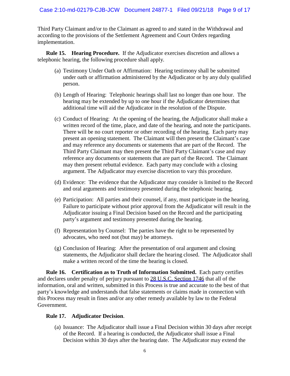Third Party Claimant and/or to the Claimant as agreed to and stated in the Withdrawal and according to the provisions of the Settlement Agreement and Court Orders regarding implementation.

**Rule 15. Hearing Procedure.** If the Adjudicator exercises discretion and allows a telephonic hearing, the following procedure shall apply.

- (a) Testimony Under Oath or Affirmation: Hearing testimony shall be submitted under oath or affirmation administered by the Adjudicator or by any duly qualified person.
- (b) Length of Hearing: Telephonic hearings shall last no longer than one hour. The hearing may be extended by up to one hour if the Adjudicator determines that additional time will aid the Adjudicator in the resolution of the Dispute.
- (c) Conduct of Hearing: At the opening of the hearing, the Adjudicator shall make a written record of the time, place, and date of the hearing, and note the participants. There will be no court reporter or other recording of the hearing. Each party may present an opening statement. The Claimant will then present the Claimant's case and may reference any documents or statements that are part of the Record. The Third Party Claimant may then present the Third Party Claimant's case and may reference any documents or statements that are part of the Record. The Claimant may then present rebuttal evidence. Each party may conclude with a closing argument. The Adjudicator may exercise discretion to vary this procedure.
- (d) Evidence: The evidence that the Adjudicator may consider is limited to the Record and oral arguments and testimony presented during the telephonic hearing.
- (e) Participation: All parties and their counsel, if any, must participate in the hearing. Failure to participate without prior approval from the Adjudicator will result in the Adjudicator issuing a Final Decision based on the Record and the participating party's argument and testimony presented during the hearing.
- (f) Representation by Counsel: The parties have the right to be represented by advocates, who need not (but may) be attorneys.
- (g) Conclusion of Hearing: After the presentation of oral argument and closing statements, the Adjudicator shall declare the hearing closed. The Adjudicator shall make a written record of the time the hearing is closed.

**Rule 16. Certification as to Truth of Information Submitted.** Each party certifies and declares under penalty of perjury pursuant to 28 U.S.C. Section 1746 that all of the information, oral and written, submitted in this Process is true and accurate to the best of that party's knowledge and understands that false statements or claims made in connection with this Process may result in fines and/or any other remedy available by law to the Federal Government.

#### **Rule 17. Adjudicator Decision**.

(a) Issuance: The Adjudicator shall issue a Final Decision within 30 days after receipt of the Record. If a hearing is conducted, the Adjudicator shall issue a Final Decision within 30 days after the hearing date. The Adjudicator may extend the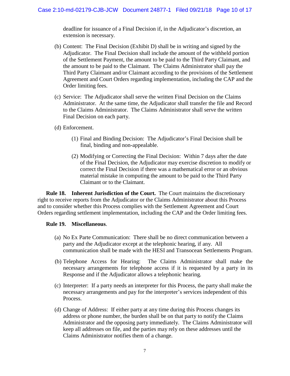deadline for issuance of a Final Decision if, in the Adjudicator's discretion, an extension is necessary.

- (b) Content: The Final Decision (Exhibit D) shall be in writing and signed by the Adjudicator. The Final Decision shall include the amount of the withheld portion of the Settlement Payment, the amount to be paid to the Third Party Claimant, and the amount to be paid to the Claimant. The Claims Administrator shall pay the Third Party Claimant and/or Claimant according to the provisions of the Settlement Agreement and Court Orders regarding implementation, including the CAP and the Order limiting fees.
- (c) Service: The Adjudicator shall serve the written Final Decision on the Claims Administrator. At the same time, the Adjudicator shall transfer the file and Record to the Claims Administrator. The Claims Administrator shall serve the written Final Decision on each party.
- (d) Enforcement.
	- (1) Final and Binding Decision: The Adjudicator's Final Decision shall be final, binding and non-appealable.
	- (2) Modifying or Correcting the Final Decision: Within 7 days after the date of the Final Decision, the Adjudicator may exercise discretion to modify or correct the Final Decision if there was a mathematical error or an obvious material mistake in computing the amount to be paid to the Third Party Claimant or to the Claimant.

**Rule 18. Inherent Jurisdiction of the Court.** The Court maintains the discretionary right to receive reports from the Adjudicator or the Claims Administrator about this Process and to consider whether this Process complies with the Settlement Agreement and Court Orders regarding settlement implementation, including the CAP and the Order limiting fees.

#### **Rule 19. Miscellaneous**.

- (a) No Ex Parte Communication: There shall be no direct communication between a party and the Adjudicator except at the telephonic hearing, if any. All communication shall be made with the HESI and Transocean Settlements Program.
- (b) Telephone Access for Hearing: The Claims Administrator shall make the necessary arrangements for telephone access if it is requested by a party in its Response and if the Adjudicator allows a telephonic hearing.
- (c) Interpreter: If a party needs an interpreter for this Process, the party shall make the necessary arrangements and pay for the interpreter's services independent of this Process.
- (d) Change of Address: If either party at any time during this Process changes its address or phone number, the burden shall be on that party to notify the Claims Administrator and the opposing party immediately. The Claims Administrator will keep all addresses on file, and the parties may rely on these addresses until the Claims Administrator notifies them of a change.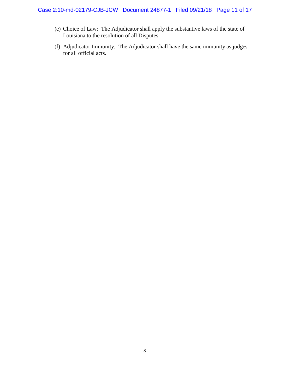#### Case 2:10-md-02179-CJB-JCW Document 24877-1 Filed 09/21/18 Page 11 of 17

- (e) Choice of Law: The Adjudicator shall apply the substantive laws of the state of Louisiana to the resolution of all Disputes.
- (f) Adjudicator Immunity: The Adjudicator shall have the same immunity as judges for all official acts.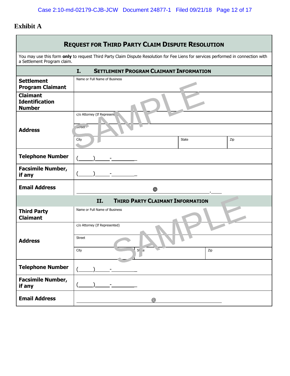# **Exhibit A**

| <b>REQUEST FOR THIRD PARTY CLAIM DISPUTE RESOLUTION</b>   |                                                                                                                                    |                                                |     |  |  |  |
|-----------------------------------------------------------|------------------------------------------------------------------------------------------------------------------------------------|------------------------------------------------|-----|--|--|--|
| a Settlement Program claim.                               | You may use this form only to request Third Party Claim Dispute Resolution for Fee Liens for services performed in connection with |                                                |     |  |  |  |
|                                                           | I.                                                                                                                                 | <b>SETTLEMENT PROGRAM CLAIMANT INFORMATION</b> |     |  |  |  |
| <b>Settlement</b><br><b>Program Claimant</b>              | Name or Full Name of Business                                                                                                      |                                                |     |  |  |  |
| <b>Claimant</b><br><b>Identification</b><br><b>Number</b> |                                                                                                                                    |                                                |     |  |  |  |
|                                                           | c/o Attorney (If Represent 1,                                                                                                      |                                                |     |  |  |  |
| <b>Address</b>                                            | $\mathsf{treet}$                                                                                                                   |                                                |     |  |  |  |
|                                                           | City                                                                                                                               | State                                          | Zip |  |  |  |
| <b>Telephone Number</b>                                   |                                                                                                                                    |                                                |     |  |  |  |
| <b>Facsimile Number,</b><br>if any                        |                                                                                                                                    |                                                |     |  |  |  |
| <b>Email Address</b>                                      |                                                                                                                                    | @                                              |     |  |  |  |
| <b>THIRD PARTY CLAIMANT INFORMATION</b><br>II.            |                                                                                                                                    |                                                |     |  |  |  |
| <b>Third Party</b><br><b>Claimant</b>                     | Name or Full Name of Business                                                                                                      |                                                |     |  |  |  |
|                                                           | c/o Attorney (If Represented)                                                                                                      |                                                |     |  |  |  |
| <b>Address</b>                                            | <b>Street</b>                                                                                                                      |                                                |     |  |  |  |
|                                                           | St e<br>City                                                                                                                       | $\blacksquare$<br>Zip                          |     |  |  |  |
| <b>Telephone Number</b>                                   |                                                                                                                                    |                                                |     |  |  |  |
| <b>Facsimile Number,</b><br>if any                        |                                                                                                                                    |                                                |     |  |  |  |
| <b>Email Address</b>                                      |                                                                                                                                    | @                                              |     |  |  |  |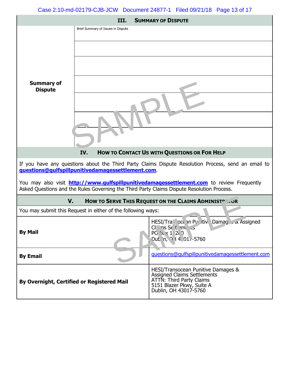Case 2:10-md-02179-CJB-JCW Document 24877-1 Filed 09/21/18 Page 13 of 17

| <b>SUMMARY OF DISPUTE</b><br>III.                                                                                                                                                              |                                                              |                                                                                                                                                                   |  |  |  |  |  |
|------------------------------------------------------------------------------------------------------------------------------------------------------------------------------------------------|--------------------------------------------------------------|-------------------------------------------------------------------------------------------------------------------------------------------------------------------|--|--|--|--|--|
|                                                                                                                                                                                                | Brief Summary of Issues in Dispute                           |                                                                                                                                                                   |  |  |  |  |  |
|                                                                                                                                                                                                |                                                              |                                                                                                                                                                   |  |  |  |  |  |
|                                                                                                                                                                                                |                                                              |                                                                                                                                                                   |  |  |  |  |  |
|                                                                                                                                                                                                |                                                              |                                                                                                                                                                   |  |  |  |  |  |
| <b>Summary of</b><br><b>Dispute</b>                                                                                                                                                            |                                                              |                                                                                                                                                                   |  |  |  |  |  |
|                                                                                                                                                                                                |                                                              |                                                                                                                                                                   |  |  |  |  |  |
|                                                                                                                                                                                                |                                                              |                                                                                                                                                                   |  |  |  |  |  |
|                                                                                                                                                                                                |                                                              |                                                                                                                                                                   |  |  |  |  |  |
|                                                                                                                                                                                                | IV.                                                          | HOW TO CONTACT US WITH QUESTIONS OR FOR HELP                                                                                                                      |  |  |  |  |  |
|                                                                                                                                                                                                | guestions@gulfspillpunitivedamagessettlement.com.            | If you have any questions about the Third Party Claims Dispute Resolution Process, send an email to                                                               |  |  |  |  |  |
| You may also visit <b>http://www.qulfspillpunitivedamagessettlement.com</b> to review Frequently<br>Asked Questions and the Rules Governing the Third Party Claims Dispute Resolution Process. |                                                              |                                                                                                                                                                   |  |  |  |  |  |
| V.<br>HOW TO SERVE THIS REQUEST ON THE CLAIMS ADMINIST AT OR                                                                                                                                   |                                                              |                                                                                                                                                                   |  |  |  |  |  |
|                                                                                                                                                                                                | You may submit this Request in either of the following ways: |                                                                                                                                                                   |  |  |  |  |  |
| <b>By Mail</b>                                                                                                                                                                                 |                                                              | HESI/Tra oce in Piz itiv Damag & Assigned<br>$C_1$ , ns Se t m, is<br>$PC_5 \times 120$<br>Dul in, 0 14, 01/-5760                                                 |  |  |  |  |  |
| <b>By Email</b>                                                                                                                                                                                |                                                              | questions@gulfspillpunitivedamagessettlement.com                                                                                                                  |  |  |  |  |  |
| By Overnight, Certified or Registered Mail                                                                                                                                                     |                                                              | HESI/Transocean Punitive Damages &<br><b>Assigned Claims Settlements</b><br><b>ATTN: Third Party Claims</b><br>5151 Blazer Pkwy, Suite A<br>Dublin, OH 43017-5760 |  |  |  |  |  |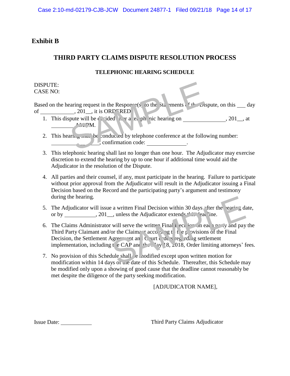# **Exhibit B**

# **THIRD PARTY CLAIMS DISPUTE RESOLUTION PROCESS**

#### **TELEPHONIC HEARING SCHEDULE**

DISPUTE: CASE NO:

Based on the hearing request in the Response (s) to the Statements of the Dispute, on this day of  $\frac{201}{\ldots}$ , it is ORF RED of  $\frac{201}{\ldots}$ ,  $201$ , it is ORP RED

- 1. This dispute will be consided to a tell phonic hearing on  $, 201$ , at  $M<sub>1</sub>$ example du diversitaire du diversitaire du diversitaire du diversitaire du diversitaire du diversitaire du diversitaire du diversitaire du diversitaire du diversitaire du diversitaire du diversitaire du diversitaire du di
- 2. This hearing shall be conducted by telephone conference at the following number: , confirmation code:
- 3. This telephonic hearing shall last no longer than one hour. The Adjudicator may exercise discretion to extend the hearing by up to one hour if additional time would aid the Adjudicator in the resolution of the Dispute.
- 4. All parties and their counsel, if any, must participate in the hearing. Failure to participate without prior approval from the Adjudicator will result in the Adjudicator issuing a Final Decision based on the Record and the participating party's argument and testimony during the hearing.
- 5. The Adjudicator will issue a written Final Decision within 30 days fter the learing date, or by , 201 , unless the Adjudicator extends the direction of the state of the state of the state of the state of the state of the state of the state of the state of the state of the state of the state of the state of the
- 6. The Claims Administrator will serve the writt Final Leciton on each party and pay the Third Party Claimant and/or the Claimant according to the provisions of the Final Decision, the Settlement Agreement and Court orders regarding settlement implementation, including t e CAP and  $t_{\text{max}}$  18, 2018, Order limiting attorneys' fees. Example 2013<br>
Sample 2014<br>
Sample 2014<br>
Sample 2014<br>
Sample 2014<br>
Sample 2014<br>
Sample 2014<br>
Sample 2014<br>
Sample 2016<br>
Sample 2019<br>
Sample 2019<br>
Sample 2019<br>
Sample 2019<br>
Sample 2019<br>
Sample 2019<br>
Sample 2019<br>
Sample 3019<br>
- 7. No provision of this Schedule shall e modified except upon written motion for modification within 14 days of the date of this Schedule. Thereafter, this Schedule may be modified only upon a showing of good cause that the deadline cannot reasonably be met despite the diligence of the party seeking modification.

### [ADJUDICATOR NAME],

Issue Date: Third Party Claims Adjudicator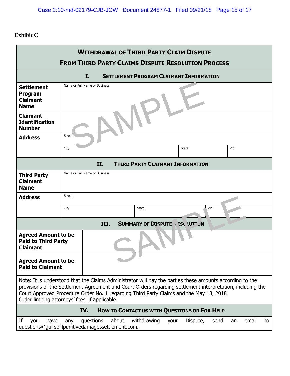## **Exhibit C**

| <b>WITHDRAWAL OF THIRD PARTY CLAIM DISPUTE</b><br><b>FROM THIRD PARTY CLAIMS DISPUTE RESOLUTION PROCESS</b>                                                                                                                                                                                                                                                        |                               |      |  |                                   |  |                                                |     |     |  |
|--------------------------------------------------------------------------------------------------------------------------------------------------------------------------------------------------------------------------------------------------------------------------------------------------------------------------------------------------------------------|-------------------------------|------|--|-----------------------------------|--|------------------------------------------------|-----|-----|--|
|                                                                                                                                                                                                                                                                                                                                                                    |                               | I.   |  |                                   |  | <b>SETTLEMENT PROGRAM CLAIMANT INFORMATION</b> |     |     |  |
| <b>Settlement</b><br>Program<br><b>Claimant</b><br><b>Name</b>                                                                                                                                                                                                                                                                                                     | Name or Full Name of Business |      |  |                                   |  |                                                |     |     |  |
| <b>Claimant</b><br><b>Identification</b><br><b>Number</b>                                                                                                                                                                                                                                                                                                          |                               |      |  |                                   |  |                                                |     |     |  |
| <b>Address</b>                                                                                                                                                                                                                                                                                                                                                     | <b>Street</b>                 |      |  |                                   |  |                                                |     |     |  |
|                                                                                                                                                                                                                                                                                                                                                                    | City                          |      |  |                                   |  | <b>State</b>                                   |     | Zip |  |
|                                                                                                                                                                                                                                                                                                                                                                    |                               | II.  |  |                                   |  | <b>THIRD PARTY CLAIMANT INFORMATION</b>        |     |     |  |
| <b>Third Party</b><br><b>Claimant</b><br><b>Name</b>                                                                                                                                                                                                                                                                                                               | Name or Full Name of Business |      |  |                                   |  |                                                |     |     |  |
| <b>Address</b>                                                                                                                                                                                                                                                                                                                                                     | <b>Street</b>                 |      |  |                                   |  |                                                |     |     |  |
|                                                                                                                                                                                                                                                                                                                                                                    | City                          |      |  | <b>State</b>                      |  |                                                | Zip |     |  |
|                                                                                                                                                                                                                                                                                                                                                                    |                               | III. |  | SUMMARY OF DISPUTE \ ESC \IIT" JN |  |                                                |     |     |  |
| <b>Agreed Amount to be</b><br><b>Paid to Third Party</b><br><b>Claimant</b>                                                                                                                                                                                                                                                                                        |                               |      |  |                                   |  |                                                |     |     |  |
| <b>Agreed Amount to be</b><br><b>Paid to Claimant</b>                                                                                                                                                                                                                                                                                                              |                               |      |  |                                   |  |                                                |     |     |  |
| Note: It is understood that the Claims Administrator will pay the parties these amounts according to the<br>provisions of the Settlement Agreement and Court Orders regarding settlement interpretation, including the<br>Court Approved Procedure Order No. 1 regarding Third Party Claims and the May 18, 2018<br>Order limiting attorneys' fees, if applicable. |                               |      |  |                                   |  |                                                |     |     |  |
| IV.<br><b>HOW TO CONTACT US WITH QUESTIONS OR FOR HELP</b>                                                                                                                                                                                                                                                                                                         |                               |      |  |                                   |  |                                                |     |     |  |
| If<br>questions<br>about<br>withdrawing<br>Dispute,<br>you<br>have<br>email<br>any<br>send<br>to<br>your<br>an<br>questions@gulfspillpunitivedamagessettlement.com.                                                                                                                                                                                                |                               |      |  |                                   |  |                                                |     |     |  |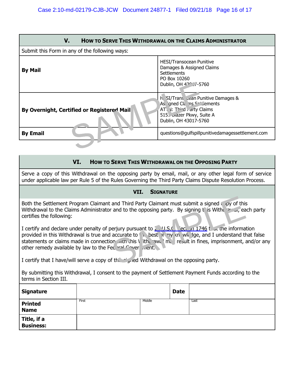| <b>HOW TO SERVE THIS WITHDRAWAL ON THE CLAIMS ADMINISTRATOR</b><br>V. |                                                                                                                                                                 |  |  |  |  |  |
|-----------------------------------------------------------------------|-----------------------------------------------------------------------------------------------------------------------------------------------------------------|--|--|--|--|--|
| Submit this Form in any of the following ways:                        |                                                                                                                                                                 |  |  |  |  |  |
| <b>By Mail</b>                                                        | <b>HESI/Transocean Punitive</b><br>Damages & Assigned Claims<br><b>Settlements</b><br>PO Box 10260<br>Dublin, OH 422, 7-5760                                    |  |  |  |  |  |
| By Overnight, Certified or Registered Mail                            | <b>H</b> SI/Trans cean Punitive Damages &<br>As gned Cla ns Section lements<br>AT I: Third rarty Claims<br>G15 ווא וazer Pkwy, Suite A<br>Dublin, OH 43017-5760 |  |  |  |  |  |
| <b>By Email</b>                                                       | questions@gulfspillpunitivedamagessettlement.com                                                                                                                |  |  |  |  |  |
|                                                                       |                                                                                                                                                                 |  |  |  |  |  |

#### **VI. HOW TO SERVE THIS WITHDRAWAL ON THE OPPOSING PARTY**

Serve a copy of this Withdrawal on the opposing party by email, mail, or any other legal form of service under applicable law per Rule 5 of the Rules Governing the Third Party Claims Dispute Resolution Process.

#### **VII. SIGNATURE**

Both the Settlement Program Claimant and Third Party Claimant must submit a signed copy of this Withdrawal to the Claims Administrator and to the opposing party. By signing this Withdrawal, each party certifies the following:

I certify and declare under penalty of perjury pursuant to  $2 \times 9.5$ . Section 1746 that the information provided in this Withdrawal is true and accurate to the best of my knowledge, and I understand that false statements or claims made in connection with this V ithdrawal may result in fines, imprisonment, and/or any other remedy available by law to the Federal Government. and Third Party Claimant must submit a signed upy of this<br>
and to the opposing party. By signing us With the start example is with<br>
sergium pursuant to  $\frac{1}{2}$ , V.S.C. ect on 1746 t at the information<br>
or with this lift

I certify that I have/will serve a copy of the signed Withdrawal on the opposing party.

By submitting this Withdrawal, I consent to the payment of Settlement Payment Funds according to the terms in Section III.

| <b>Signature</b>              |       |        | <b>Date</b> |      |
|-------------------------------|-------|--------|-------------|------|
| <b>Printed</b><br><b>Name</b> | First | Middle |             | Last |
| Title, if a<br>Business:      |       |        |             |      |